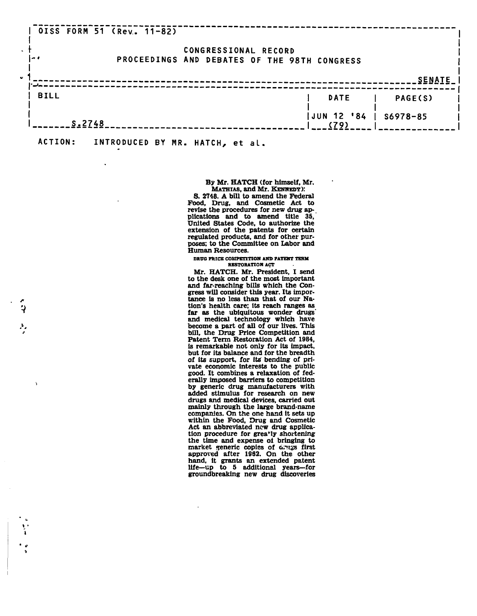|             | 0ISS FORM 51 (Rev. 11-82)       |                      |                                              |                |
|-------------|---------------------------------|----------------------|----------------------------------------------|----------------|
| l a d       |                                 | CONGRESSIONAL RECORD | PROCEEDINGS AND DEBATES OF THE 98TH CONGRESS |                |
| $\bullet$   |                                 |                      |                                              | <b>SENATE</b>  |
| <b>BILL</b> |                                 |                      | <b>DATE</b>                                  | <b>PAGE(S)</b> |
|             | $S = 2748$                      |                      | JUN 12 '84<br>(79)                           | $$6978 - 85$   |
| ACTION:     | INTRODUCED BY MR. HATCH, et al. |                      |                                              |                |

# **By Mr. HATCH** (for himself, Mr. MATHIAS, and Mr. KENHEDY):

S. 2748. A bill to amend the Federal Food, Drug, and Cosmetic Act to revise the procedures for new drug applications and to amend title 35, United States Code, to authorize the extension of the patents for certain regulated products, and for other purposes; to the Committee on Labor and Human Resources.

## **DRUG PRICE COMPETITION AND PATENT TERM RESTORATION ACT**

Mr. HATCH. Mr. President, I send to the desk one of the most important and far-reaching bills which the Congress will consider this year. Its importance is no less than that of our Nation's health care; its reach ranges as far as the ubiquitous wonder drugs' and medical technology which have become a part of all of our lives. This bill, the Drug Price Competition and Patent Term Restoration Act of 1984, is remarkable not only for its impact, but for its balance and for the breadth of its support, for its bending of private economic interests to the public good. It combines a relaxation of federally imposed barriers to competition by generic drug manufacturers with added stimulus for research on new drugs and medical devices, carried out mainly through the large brand-name companies. On the one hand it sets up within the Food, Drug and Cosmetic Act an abbreviated new drug application procedure for greatly shortening the time and expense oi bringing to market generic copies of arugs first approved after 19S2. On the other hand, it grants an extended patent life—up to 5 additional years—for groundbreaking new drug discoveries

 $\rightarrow$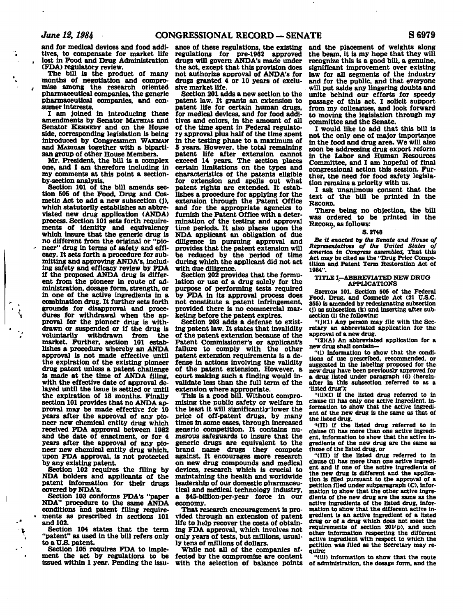**and for medical devices and food additives, to compensate for market life , lost in Food and Drug Administration (FDA) regulatory review.** 

**The bill is the product of many months of negotiation and compro-** *,* **mlse among the research oriented pharmaceutical companies, the generic pharmaceutical companies, and consumer interests.** 

**I am joined in introducing these amendments by Senator MATHIAS and Senator KENNEDY and on the House side, corresponding legislation is being introduced by Congressmen WAXMAN and MADIGAN together with a bipartisan group of other House Members.** 

**Mr. President, the bill is a complex one, and I am therefore including in my comments at this point a sectionby-section analysis.** 

**Section 101 of the bill amends section 505 of the Food, Drug and Cosmetic Act to add a new subsection (j), which statutorily establishes an abbreviated new drug application (ANDA) process. Section 101 sets forth requirements of Identity and equivalency which insure that the generic drug is no different from the original or "pio- - neer" drug in terms of safety and efficacy. It sets forth a procedure for submitting and approving ANDA's, including safety and efficacy review by FDA if the proposed ANDA drug is different from the pioneer in route of administration, dosage form, strength, or in one of the active ingredients in a combination drug. It further sets forth grounds for disapproval and procegrounds for disapproval and proce-<br>dures for withdrawal when the ap**dures for withdrawal when the ap-<br>provel for the pioneer drug is withproval for the pioneer drug is withdrawn or suspended or if the drug is voluntarily withdrawn from the market. Further, section 101 establishes a procedure whereby an ANDA approval is not made effective until the expiration of the existing pioneer drug patent unless a patent challenge is made at the time of ANDA filing. with the effective date of approval delaved until the issue is settled or until the expiration of 18 months. Finally section 101 provides that no ANDA approval may be made effective for 10 years after the approval of any pioneer new chemical entity drug which received FDA approval between 1982 and the date of enactment, or for 4 years after the approval of any pioneer new chemical entity drug which, upon FDA approval, is not protected<br>by any existing patent.

**Section 102 requires the filing by NDA holders and applicants of the patent information for their drugs covered by NDA's.** 

**Section 103 conforms FDA's "paper NDA" procedure to the same ANDA conditions and patent filing require- • ments as prescribed in sections 101 and 102.** 

 $\overline{\phantom{a}}$ 

**Section 104 states that the term "patent" as used in the bill refers only**  to a U.S. patent.

**Section 105 requires FDA to implement the act by regulations to be issued within 1 year. Pending the issu-**

**ance of these regulations, the existing regulations for pre-1962 approved drugs will govern ANDA's made under the act, except that this provision does not authorize approval of ANDA's for drugs granted 4 or 10 years of exclusive market life.** 

**Section 201 adds a new section to the patent law. It grants an extension to patent life for certain human drugs, for medical devices, and for food additives and colors, in the amount of all of the time spent in Federal regulatory approval plus half of the time spent in the testing phase to a maximum of 5 years. However, the total remaining patent life after extension cannot exceed 14 years. The section places certain limitations on the types and characteristics of the patents eligible for extension and spells out what patent rights are extended. It establishes a procedure for applying for the extension through the Patent Office and for the appropriate agencies to furnish the Patent Office with a determination of the testing and approval time periods. It also places upon the NDA applicant an obligation of due diligence in pursuing approval and provides that the patent extension will be reduced by the period of time during which the applicant did not act with due diligence.** 

**Section 202 provides that the formulation or use of a drug solely for the purpose of performing tests required by FDA in its approval process does not constitute a patent infringement, provided there is no commercial marketing before the patent expires.** 

**Section 203 adds a defense to existing patent law. It states that invalidity of the patent extension because of the Patent Commissioner's or applicant's failure to comply with the other patent extension requirements is a defense in actions involving the validity of the patent extension. However, a court making such a finding would invalidate less than the full term of the extension where appropriate.** 

**This is a good bill. Without compromising the public safety or welfare in**  the least it will significantly lower the **price of off-patent drugs, by many times in some cases, through increased generic competition. It contains numerous safeguards to insure that the generic drugs are equivalent to the brand name drugs they compete against. It encourages more research on new drug compounds and medical devices, research which is crucial to maintaining the health and worldwide leadership of our domestic pharmaceutical and metiical technology industry, a \$45-billion-per-year force in our economy.** 

**That research encouragement is provided through an extension of patent life to help recover the costs of obtaining FDA approval, which involves not only years of tests, but millions, usually tens of millions of dollars.** 

**While not all of the companies affected by the compromise are content with the selection of balance points** 

**and the placement of weights along the beam, it is my hope that they will recognize this is a good bill, a genuine, significant improvement over existing law for all segments of the industry and for the public, and that everyone will put aside any lingering doubts and unite behind our efforts for speedy passage of this act. I solicit support from my colleagues, and look forward to moving the legislation through my committee and the Senate.** 

**I would like to add that this bill is not the only one of major importance in the food and drug area. We will aiso soon be addressing drug export reform in the Labor and Human Resources Committee, and I am hopeful of final congressional action this session. Further, the need for food safety legislation remains a priority with us.** 

**I ask unanimous consent that the text of the bill be printed in the RECORD.** 

**There being no objection, the bill was ordered to be printed in the RECORD, as follows:** 

## **S. 2748**

*Be it enacted by the Senate and House of Representatives of the United States of America in Congress assembled,* **That this Act may be cited as the "Drug Price Competition and Patent Term Restoration Act of 1984".** 

#### **TITLE I—ABBREVIATED NEW DRUG ' APPLICATIONS**

**SECTION 101. Section 505 of the Federal**  Food. Drug, and Cosmetic Act (21 U.S.C. **355) is amended by redesignating subsection (J) as subsection (k) and Inserting after subsection (i) the following:** 

"(J)(1) Any person may file with the Sec**retary an abbreviated application for the approval of a new drug.** 

**"(2)(A) An abbreviated application for a new drug shall contain—** 

**"(i) Information to show that the conditions of use prescribed, recommended, or suggested in the labeling proposed for the new drug have been previously approved for a drug listed under paragraph (6) (hereinafter in this subsection referred to as a 'listed drug');** 

**"(ii)(I) if the listed drug referred to in clause (i) has only one active Ingredient, information to show that the active ingredient of the new drug is the same as that of the listed drug,** 

*•'(II)* **if the listed drug referred to in clause (i) has more than one active ingredient, information to show that the active ingredients of the new drug are the same as those of the listed drug, or** 

**"(III) if the listed drug referred to in clause (i) has more than one active ingredient and If one of the active ingredients of the new drug is different and the application is filed pursuant to the approval of a petition filed under subparagraph (C), information to show that the other active ingredients of the new drug are the same as the active ingredients of the listed drug, information to show that the different active ingredient is an active ingredient of a listed drug or of a drug which does not meet the**  requirements of section 201<sup>t</sup>p), and such other information respecting the different **active ingredient with respect to which the petition was filed as the Secretary may require:** 

**"(Hi) information to show that the route of administration, the dosage form, and the**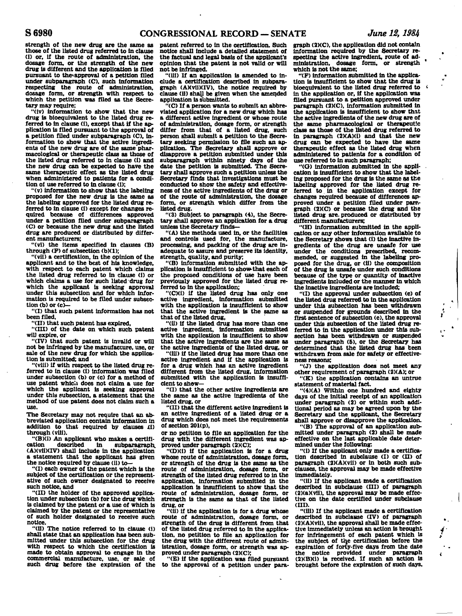**strength of the new drug are the same as those of the listed drug referred to in clause (i) or, if the route of administration, the dosage form, or the strength of the new drug is different and the application is filed**  pursuant to the approval of a petition filed **under subparagraph (C). such information respecting the route of administration, dosage form, or strength with respect to which the petition was filed as the Secretary may require;** 

**"(iv) information to show that the new drug is bioequivalent to the listed drug referred to in clause (i), except that if the application is filed pursuant to the approval of a petition filed under subparagraph (C), information to show that the active ingredients of the new drug are of the same'pharmacological or therapeutic class as those of the listed drug referred to in clause (i) and the new drug can be expected to have the same therapeutic effect as the listed drug when administered to patients for a condition of use referred to in clause (i);** 

**"(v) information to show that the labeling proposed for the new drug is the same as the labeling approved for the listed drug referred to in clause (i) except for changes required because of differences approved under a petition filed under subparagraph (C) or because the new drug and the listed drug are produced or distributed by different manufacturers;** 

**"(vi) the items specified in clauses (B) through (F) of subsection (b)(1);** 

**"(vii) a certification, in the opinion of the applicant and to the best of his knowledge, with respect to each patent which claims the listed drug referred to in clause (i) or which claims a use for such listed "drug for which the applicant is seeking approval under this subsection and for which information is required to be filed under subsection (b) or (c)—** 

**"(I) that such patent information has not been filed,** 

**"(II) that such patent has expired,** 

**"(III) of the date on which such patent will expire, or** 

**"(IV) that such patent is invalid or will not be infringed by the manufacture, use, or sale of the new drug for which the application is submitted; and** 

**"(viii) if with respect to the listed drug referred to in clause (i) information was filed under subsection (b) or (c) for a method of use patent which does not claim a use for which the applicant is seeking approval under this subsection, a statement that the method of use patent does not claim such a use.** 

**The Secretary may not require that an abbreviated application contain information in addition to that required by clauses ii) through (viii).** 

**"(B)(i) An applicant who makes a certifi**cation described in subparagraph.<br>**(A)(vii)(IV) shall include in the application a** statement that the applicant has given the notice required by clause (ii) to—

**"(I) each owner of the patent which is the subject of the certification or the representative of such owner designated to receive such notice, and** 

**"(II) the holder of the approved application under subsection (b) for the drug which is claimed by the patent or a use of which is claimed by the patent or the representative of such holder designated to receive such notice.** 

**"(ii) The notice referred to in clause (i> shall state that an application has been submitted under this subsection for the drug with respect to which the certification is made to obtain approval to engage in the commercial manufacture, use, or sale of such drug before the expiration of the** 

**patent referred to in the certification. Such notice shall include a detailed statement of the factual and legal basis of the applicant's opinion that the patent is not valid or will not be infringed.** 

**"(iii) If an application is amended to include a certification described in subpara**graph (A)(vii)(IV), the notice required by **clause (ii) shall be given when the amended application is submitted.** 

**"(C) If a person wants to submit an abbreviated application for a new drug which has a different active ingredient or whose route of administration, dosage form, or strength differ from that of a listed drug, such person shall submit a petition to the Secretary seeking permission to file such an application. The Secretary shall approve or disapprove a petition submitted under this subparagraph within ninety days of the date the petition is submitted. The Secretary shall approve such a petition unless the Secretary finds that investigations must be conducted to show the safety and effectiveness of the active ingredients of the drug or of the route of administration, the dosage form, or strength which differ from the listed drug.** 

**"(3) Subject to paragraph (4), the Secre-tary shall approve an application for a drug unless the Secretary finds—** 

**"(A) the methods used in, or the facilities and controls used for, the manufacture, processing, and packing of the drug are inadequate to assure and preserve its identity, strength, quality, and purity;** 

**"(B) information submitted with the application is insufficient to show-that each of the proposed conditions of use have been previously approved for the listed drug referred to in the application;** 

**"(C)(1) if the listed drug has only one active ingredient, information submitted with the application is insufficient to show that the active ingredient is the same as that of the listed drug,** 

**"(ii) if the listed drug has more than one active ingredient, information submitted with the application is insufficient to show that the active ingredients are the same as the active ingredients of the listed drug, or** 

**"(iii) if the listed drug has more than one active ingredient and if the application is for a drug which has an active ingredient different from the listed drug, information submitted with the application is insufficient to show—** 

**"(I) that the other active ingredients are the same as the active ingredients of the listed drug, or** 

**"(II) that the different active ingredient is an active ingredient of a listed drug or a drug which does not meet the requirements of section 201(p),** 

**or no petition to file an application for the drug with the different ingredient was approved under paragraph (2XC);** 

**"(D)(i) if the application is for a drug whose route of administration, dosage form, or strength of the drug is the same as the route of administration, dosage form, or strength of the listed drug referred to in the application, information submitted in the application is insufficient to show that the route of administration, dosage form, or strength is the same as that of the listed drug, or** 

**"(ii) if the application is for a drug whose route of administration, dosage form, or strength of the drug is different from that of the listed drug referred to in the application, no petition to file an application for the drug with the different route of administration, dosage form, or strength was approved under paragraph (2)(C);** 

**"(E) if the application was filed pursuant to the approval of a petition under para-**

**graph (2)(C), the application did not contain Information required by the Secretary re**specting the active ingredient, route of ad**ministration, dosage form, or strength which is not the same;** 

**"(F) information submitted in the application is insufficient to show that the drug Is bioequivalent to the listed drug referred to** *<•*  **in the application or, if the application was filed pursuant to a petition approved under paragraph (2)(C), information submitted in the application is insufficient to show that the active ingredients of the new drug are of the same pharmacological or therapeutic class as those of the listed drug referred to**  in paragraph (2XA)(1) and that the new drug can be expected to have the same **therapeutic effect as the listed drug when administered to patients for a condition of use referred to in such paragraph;** 

**"(G) information submitted in the application is insufficient to show that the labeling proposed for the drug is the same as the labeling approved for the listed drug referred to in the application except for changes required because of differences ap**proved under a petition filed under para-<br>graph (2)(C) or because the drug and the **listed drug are. produced or distributed by different manufacturers;** 

**"(H) information submitted in the application or any other information available to the Secretary shows that (i) the inactive ingredients of the drug are unsafe for use under the conditions prescribed, recom-mended, or suggested in the labeling proposed for the drug, or (11) the composition of the drug is unsafe under such conditions because of the type or quantity of inactive ingredients included or the manner in which the inactive ingredients are included;** 

**"(I) the approval under subsection (c) of the listed drug referred to in the application under this subsection has been withdrawn or suspended for grounds described in the first sentence of subsection (e), the approval under this subsection of the listed drug referred to in the application under this subsection has been withdrawn or suspended under paragraph (5), or the Secretary has determined that the listed drug has been withdrawn from sale for safety or effectiveness reasons;** 

 $\dot{\mathbf{r}}$ 

**"(J) the application does not meet any**  other requirement of paragraph (2)(A); or **"(K) the application contains an untrue** 

**statement of material fact.** 

**"(4)(A) Within one hundred and eighty days of the initial receipt of an application under paragraph (2) or within such additional period as may be agreed upon by the Secretary and the applicant, the Secretary shall approve or disapprove the application.** 

**"(B) The approval of an application submitted under paragraph (2) shall be made effective on the last applicable date determined under the following:** 

**"(i) If the applicant only made a certification described in subclause (I) or (II) of paragraph (2)(A)(vll) or in both such subclauses, the approval may be made effective immediately.** 

**"(ii) If the applicant made a certification described in subclause (III) of paragraph (2)(a)(vii), the approval may be made effective on the date certified under subclause (III).** 

**"(iii) If the applicant made a certification described in subclause (IV) of paragraph (2)(A)(vil), the approval shall be made effective immediately unless an action is brought for infringement of each patent which is the subject of the certification before the expiration of forty-five days from the date the notice provided under paragraph (2)(B)(i) is received. If such an action is brought before the expiration of such days.**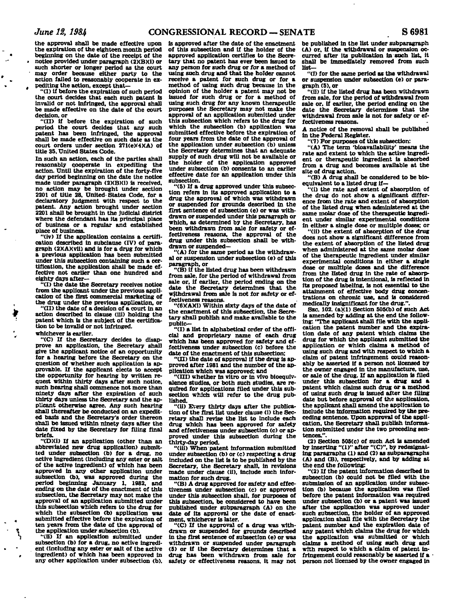**the approval shall be made effective upon the expiration of the eighteen month period beginning on the date of the receipt of the notice provided under paragraph (2)(B)(i) or such shorter or longer period as the court may order because either party to the action failed to reasonably cooperate In expediting the action, except that-**

**'ll) if before the expiration of such period the court decides that each such patent is invalid or not infringed, the approval shall be made effective on the date of the court decision, or** 

**"(II) if before the expiration of such period the court decides that any such patent has been infringed, the approval shall be made effective on such date as the court orders under section 271(e)(4)(A) of title 35. United States Code.** 

**In such an action, each of the parties shall reasonably cooperate in expediting the action. Until the expiration of the forty-five day period beginning on the date the notice made under paragraph (2)(B)(i) is received, no action may be brought under section 2201 of title 28, United- States Code, for a declaratory Judgment with respect to the patent. Any action brought under section 2201 shall be brought in the judicial district where the defendant has its principal place of business or a regular and established place of business.** 

**"(iv) If the application contains a certification described in subclause (IV) of paragraph (2)(A)(vii) and is for a drug for which a previous application has been submitted under this subsection containing such a certification, the application shall be made effective not earlier than one hundred and eighty days after—** 

**"(I) the date the Secretary receives notice from the applicant under the previous application of the first commercial marketing of the drug under the previous application, or** 

**"(II) the date of a decision of a court in an action described in clause (iii) holding the patent which is the subject of the certification to be invalid or not infringed,** 

# **whichever is earlier.**

**"(C) If the Secretary decides to disapprove an application, the Secretary shall give the applicant notice of an opportunity for a hearing before the Secretary on the question of whether such application is approvable. If the applicant elects to accept the opportunity for hearing by written request within thirty days after such notice, such hearing shall commence not more than ninety days after the expiration of such thirty days unless the Secretary and the applicant otherwise agree. Any such hearing shall thereafter be conducted on an expedited basis and the Secretary's order thereon shall be issued within ninety days after the date fixed by the Secretary for filing final briefs.** 

**"(D3(i) If an application (other than an abbreviated new drug application) submitted under subsection (b) for a drug, no active ingredient (including any ester or salt of the active ingredient) of which has been approved in any other application under subsection (b), was approved during the period beginning January 1, 1982, and ending on the date of the enactment of this subsection, the Secretary may not make the approval of an application submitted under this subsection which refers to the drug for which the subsection (b) application was submitted effective before the expiration of ten years from the date of the approval of the application under subsection (b).** 

**"(ii) If an application submitted under subsection (b) for a drug, no active ingredient (including any ester or salt of the active ingredient) of which has been approved in any other application under subsection (b).** 

**is approved after the date of the enactment of this subsection and if the holder of the approved application certifies to the Secretary that no patent has ever been issued to any person for such drug or for a method of using such drug and that the holder cannot receive a patent for such drug or for a method of using such drug because in the opinion of the holder a patent may not be issued for such drug or for a method of using such drug for any known therapeutic purposes the Secretary may not make the approval of an application submitted under this subsection which refers to the drug for which the subsection (b) application was submitted effective before the expiration of four years from the date of the approval of the application under subsection (b) unless the Secretary determines that ah adequate supply of such drug will not be available or the holder of the application approved under subsection (b) consents to an earlier**  under subsection (b) consents to an earlier<br>effective date for an application under this<br>

**"(5) If a drug approved under this subsection refers in its approved application to a drug the approval of which was withdrawn or suspended for grounds described in the first sentence of subsection (e) or was withdrawn or suspended under this paragraph or which, as determined by the Secretary, has been withdrawn from sale for safety or effectiveness reasons, the approval of the drug under this subsection shall be withdrawn or suspended—** 

**"(A) for the same period as the withdrawal or suspension under subsection (e) of this paragraph, or** 

**"(B) if the listed drug has been withdrawn from sale, for the period of withdrawal from sale or, if earlier, the period ending on the date the Secretary determines that the withdrawal from sale is not for safety or effectiveness reasons.** 

**"(6)(AXi) Within sixty days of the date of the enactment of this subsection, the Secretary shall publish and make available to the public—** 

**"(I) a list in alphabetical order of the official and proprietary name of each drug which has been approved for safety and effectiveness under subsection (c) before the date of the enactment of this subsection;** 

**"(H) the date of approval if the drug is approved after 1981 and the number of the ap-**

**plication which was approved; and "(III) whether in vitro or in vivo bioequivalence studies, or both such studies, are required for applications filed under this sub**section which will refer to the drug pub**lished.** 

**"(ii) Every thirty days after the publication of the first list under clause (i) the Secretary shall revise the list to include each drug which has been approved for safety and effectiveness under subsection (c) or approved under this subsection during the thirty-day period.** 

**"(iii) When patent information submitted under subsection (b) or (c) respecting a drug included on the list is to be published by the Secretary, the Secretary shall, in revisions made under clause (ii), include such information for such drug.** 

**"(B) A drug approved for safety and effectiveness under subsection (c) or approved under this subsection shall, for purposes of**  this subsection, be considered to have been **published under subparagraph (A) on the date of its approval or the date of enactment, whichever is later.** 

**"(C) If the approval of a drug was withdrawn or suspended for grounds described in the first sentence of subsection (e)** *or* **was withdrawn or suspended under paragraph (5) or if the Secretary determines that a drug has been withdrawn from sale for safety or effectiveness reasons, it may not** 

**be published in the list under subparagraph (A) or, if the withdrawal or suspension occurred after its publication in such list, it shall be immediately removed from such list-**

**"(i) for the same period as the withdrawal or suspension under subsection (e) or paragraph (S), or** 

**"(ii) if the listed drug has been withdrawn from sale, for the period of withdrawal from sale or. if earlier, the period ending on the date the Secretary determines that the withdrawal from sale is not for safety or effectiveness reasons.** 

**A notice of the removal shall be published in the Federal Register.** 

**"(7) For purposes of this subsection: "(A) The term 'bioavailability' means the rate and extent to which the active ingredient or therapeutic ingredient is absorbed from a drug and becomes available at the site of drug action.** 

**"(B) A drug shall be considered to be bioequivalent to a listed drug If—** 

**"(i) the rate and extent of absorption of the drug do not show a significant difference from the rate and extent of absorption of the listed drug when administered at the same molar dose of the therapeutic ingredient under similar experimental conditions in either a single dose or multiple doses; or** 

**"(ii) the extent of absorption of the drug does not show a significant difference from the extent of absorption of the listed drug when administered at the same molar dose of the therapeutic ingredient under similar experimental conditions in either a single dose or multiple doses and the difference from the listed drug in the rate of absorption of the drug is intentional, is reflected in its proposed labeling, is not essential to the attainment of effective body drug concentrations on chronic use, and is considered medically insignificant for the drug.".** 

**SEC. 102. (a)(1) Section 505(b) of such Act is amended by adding at the end the following: "The applicant shall file with the application the patent number and the expiration date of any patent which claims the drug for which the applicant submitted the application or which claims a method of using such drug and with respect to which a claim of patent infringement could reasonably be asserted if a person not licensed by the owner engaged in the manufacture, use, or sale of the drug. If an application is filed under this subsection for a drug and a patent which claims such drug or a method of using such drug is issued after the filing date but before approval of the application, the applicant shall amend the application to include the information required by the preceding sentence. Upon approval of the application, the Secretary shall publish information submitted under the two preceding sentences.".** 

**(2) Section 505(c) of such Act Is amended by inserting "(1)" after "(C)", by redesignating paragraphs (1) and (2) as subparagraphs (A) and (B), respectively, and by adding at the end the following:** 

**"(2) If the patent information described in subsection (b) could not be filed with the submission of an application under subsection (b) because the application was filed before the patent information was required under subsection Cb) or a patent was issued after the application was approved under such subsection, the holder of an approved application shall file with the Secretary the patent number and the expiration date of any patent which claims the drug for which the application was submitted or which claims a method of using such drug and with respect to which a claim of patent infringement could reasonably be asserted if a person not licensed by the owner engaged in**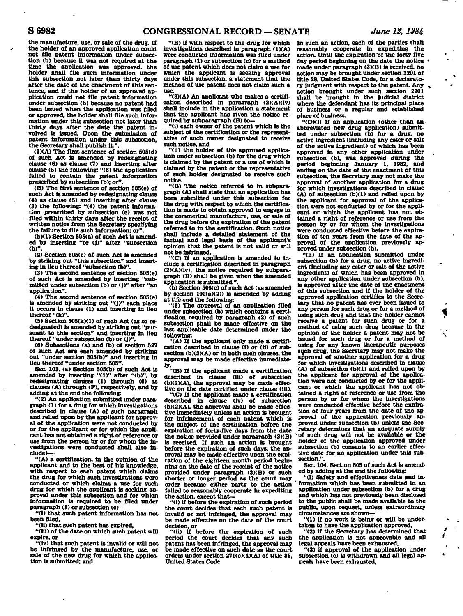**the manufacture, use, or sale of the drug. If the holder of an approved application could not file patent information under subsection (b) because it was not required at the time the application was approved, the holder shall file such Information under this subsection not later than thirty days after the date of the enactment of this sentence, and if the holder of an approved application could not file patent information under subsection (b) because no patent had been issued when the application was filed or approved, the holder shall file such information under this subsection not later than thirty days after the date the patent in-volved is issued. Upon the submission of patent information under this subsection, the Secretary shall publish it.".** 

**OKA) The first sentence of section 505(d) of such Act is amended by redesignating clause (6) as clause (7) and inserting after clause (5) the following: "(6) the application failed to contain the patent information prescribed by subsection (b); or".** 

**(B) The first sentence of section 505(e) of such Act is amended by redesignating clause (4) as clause (5) and inserting after clause (3) the following: "(4) the patent informa-tion prescribed by subsection (c) was not filed within thirty days after the receipt of written notice from the Secretary specifying the failure to file such information; or".** 

**(b)(1) Section 505(a) of such Act is amended by inserting "or (J)" after "subsection (b)'\** 

**(2) Section 505(c) of such Act is amended by striking out "this subsection" and inserting in lieu thereof "subsection (b)".** 

**(3) The second sentence of section 505(e) of such Act is amended by inserting "submitted under subsection (b) or (j)" after "an application".** 

**(4) The second sentence of section 505(e) is amended by striking out "(J)" each place it occurs in clause (1) and inserting in lieu thereof "(k)".** 

**(5) Section 505(k)(l) of such Act (as so redesignated) is amended by striking out "pursuant to this section" and inserting in lieu thereof "under subsection (b) or (j)".** 

**(6) Subsections (a) and (b) of section 527 of such Act are each amended by striking out "under section 505(b)" and inserting in lieu thereof "under section 505".** 

**SEC. 103. (a) Section 505(b) of such Act is amended by inserting "(1)" after "(b)", by redesignating clauses (1) through (6) as 'clauses (A) through (F), respectively, and by adding at the end the following:** 

**"(2) An application submitted under paragraph (1) for a drug for which investigations described in clause (A) of such paragraph and relied upon by the applicant for approval of the application were not conducted by or for the applicant or for which the applicant has not obtained a right of reference or use from the person by or for whom the investigations were conducted shall also in**clude  $\rightarrow$ 

**"(A) a certification, in the opinion of the applicant and to the best of his knowledge, with respect to each patent which claims the drug for which such investigations were conducted or which claims a use for such drug for which the applicant is seeking approval under this subsection and for which information is required to be filed under paragraph (1) or subsection (c)—** 

**"(i) that such patent information has not been filed,** 

**"(ii) that such patent has expired,** 

**"(lii) of the date on which such patent will expire, or** 

**"(iv) that such patent is invalid or will not be infringed by the manufacture, use, or**  sale of the new drug for which the applica**tion is submitted; and** 

**"(B) if with respect to the drug for which investigations described in paragraph (1)(A) were conducted information was filed under paragraph (1) or subsection (c) for a method of use patent which does not claim a use for which the applicant is seeking approval under this subsection, a statement that the method of use patent does not claim such a use.** 

**"(3XA) An applicant who makes a certification described in paragraph (2)(A)(iv) shall include in the application a statement that the applicant has given the notice required by subparagraph (B) to—** 

**"(I) each owner of the patent which is the subject of the certification or the representative of such owner designated to receive such notice, and** 

**"(ii) the holder of the approved application under subsection (b) for the drug which is claimed by the patent or a use of which is claimed by the patent or the representative of such holder designated to receive such notice.** 

**"(B) The notice referred to in subparagraph (A) shall state that an application has been submitted under this subsection for the drug with respect to which the certification is made to obtain approval to engage in the commerlcal manufacture, use, or sale of the drug before the expiration of the patent referred to in the certification. Such notice shall include a detailed statement of the factual and legal basis of the applicant's opinion that the patent is not valid cr will not be infringed.** 

**"(C) If an application is amended to include a certification described in paragraph (2)(A)(lv), the notice required by subparagraph (B) shall be given when the amended application is submitted.".** 

**(b) Section 505(c) of such Act (as amended by section 102(a)(2)) is amended by adding at the end the following:** 

**"(3) The approval of an application filed under subsection (b) which contains a certification required by paragraph (2) of such subsection shall be made effective on the last applicable date determined under the following:** 

**"(A) If the applicant only made a certification described in clause (1) or (ii) of subsection (b)(2)(A) or in both such clauses, the approval may be made effective immediate-**

**ly. "(B) If the applicant made a certification described in clause (til) of subsection (b)(2)(A), the approval may be made effective on the date certified under clause (ill).** 

**"(C) If the applicant made a certification described in clause (iv) of subsection (b)(2)(A), the approval shall be made effective Immediately unless an action is brought for infringement of each patent which is the subject of the certification before the expiration of forty-five days from the date the notice provided under paragraph (3XB) Is received. If such an action is brought before the expiration of such days, the approval may be made effective upon the expiration of the eighteen month period beginning on the date of the receipt of the notice provided under paragraph (3)(B) or such shorter or longer period as the court may order because either party to the action failed to reasonably cooperate In expediting the action, except that-**

**'ll) if before the expiration of such period the court decides that each such patent is invalid or not infringed, the approval may be made effective on the date of the court decision, or** 

**"(ii) U before the expiration of such period the court decides that any such patent has been infringed, the approval may be made effective on such date as the court orders under section 27l(eK4)(A) of title 35, United States Code** 

**In such an action, each of the parties shall reasonably cooperate In expediting the action. Until the expiration~of the forty-five day period beginning on the date the notice • made under paragraph (3KB) is received, no action may be brought under section 2201 of title 28, United States Code, for a declaratory judgment with respect to the patent. Any » action brought under such section 2201 shall be brought in the Judicial district where the defendant has its principal place of business or a regular and established place of business.** 

**"(D)(i) If an application (other than an abbreviated new drug application) submitted under subsection (b) for a drug, no active ingredient (including any ester or salt of the active ingredient) of which has been approved in any other application under subsection (b), was approved during the**  period beginning January 1, 1982, **ending on the date of the enactment of this subsection, the Secretary may not make the approval of another application for a drug for which investigations described in clause (A) of subsection (b)(1) and relied upon by the applicant for approval of the application were not conducted by or for the applicant or which the applicant has not obtained a right of reference or use from the person by or for whom the investigations were conducted effective before the expiration of ten years from the date of the approval of the application previously approved under subsection (b).** 

**"(ii) If an application submitted under subsection (b) for a drug, no active ingredient (including any ester or salt of the active ingredient) of which has been approved in any other application under subsection (b), is approved after the date of the enactment of this subsection and if the holder of the approved application certifies to the Secretary that no patent has ever been issued to any person for such drug or for a method of using such drug and that the holder cannot receive a patent for such drug or for a method of using such drug because in the opinion of the holder a patent may not be issued for such drug or for a method of using for any known therapeutic purposes such drug, the Secretary may not make the approval of another application for a drug for which investigations described in clause (A) of subsection (b)(1) and relied upon by the applicant for approval of the application were not conducted by or for the applicant or which the applicant has not obtained a right of reference or use from the person by or for whom the investigations were conducted effective before the expiration of four years from the date of the approval of the application previously approved under subsection (b) unless the Secretary determines that an adequate supply >of such drug will not be available or the holder of the application approved under subsection (b) consents to an earlier effective date for an application under this subsection.".** 

**SEC. 104. Section 505 of such Act is amended by adding at the end the following:** 

**"(I) Safety and effectiveness data and in** formation which has been submitted in an **application under subsection (b) for a drug and which has not previously been disclosed to the public shall be made available to the public, upon request, unless extraordinary circumstances are shown—** 

**"(1) if no work is being or will be undertaken to have the application approved,** 

**"(2) if the Secretary has determined that the application is not approvable and all legal appeals have been exhausted,** 

**"(3) if approval of the application under subsection (c) is withdrawn and all legal appeals have been exhausted,**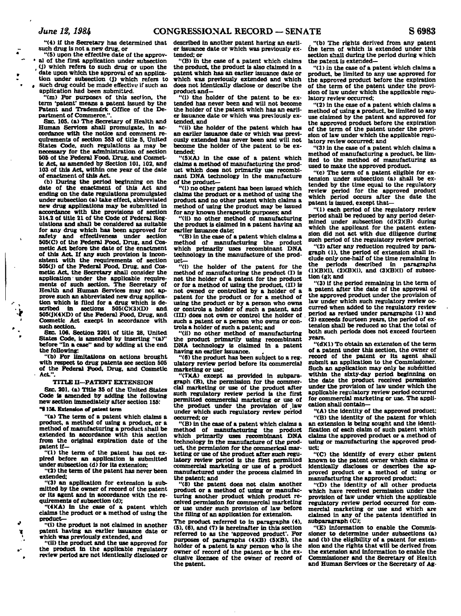**t**

**"(4) if the Secretary has determined that described in another patent having an earlisuch drug is not a new drug, or <sup>1</sup>**

 **"(5) upon the effective date of the approv- ~ • al of the first application under subsection , (j) which refers to such drug or upon the**  date upon which the approval of an applica-

**tion under subsection (j) which refers to •** *,* **such drug could be made effective if such an application had been submitted.** 

**"(m) For purposes of this section, the term 'patent' means a patent issued by the Patent and Trademark Office of the Department of Commerce.".** 

**SEC. 105. (a) The Secretary of Health and Human Services shall promulgate, in accordance with the notice and comment requirements of section 553 of title 5. United States Code, such regulations as may be necessary for the administration of section 505 of the Federal Food, Drug, and Cosmetic Act, as amended by Section 101, 102, and 103 of this Act, within one year of the date of enactment of this Act.** 

**(b) During the period beginning on the date of the enactment of this Act and ending on the date regulations promulgated under subsection (a) take effect, abbreviated new drug applications may be submitted in accordance with the provisions of section 314.2 of title 21 of the Code of Federal Regulations and shall be considered as suitable for any drug which has been approved for safety and effectiveness under section 505(C) of the Federal Food, Drug, and Cosmetic Act before the date of the enactment of this Act. If any such provision is inconsistent with the requirements of section 505(j) of the Federal Food, Drug, and Cosmetic Act, the Secretary shall consider the application' under the applicable requirements of such section. The Secretary of Health and Human Services may not approve such an abbreviated new drug applica- , tion which is filed for a drug which is de- , scribed in sections 505(C)(3)(D) and**  *t* **505(jX4XD) of the Federal Food, Drug, and ' Cosmetic Act execpt in accordance with such section.** 

**SEC. 106. Section 2201 of title 28, United ' States Code, is amended by inserting "(a)" before "In a case" and by adding at the end the following:** 

**"(b) For limitations on actions brought with respect to drug patents see section 505 of the Federal Food, Drug, and Cosmetic Act".** 

#### **TITLE II—PATENT EXTENSION**

**SEC. 201. (a) Title 35 of the United States Code is amended by adding the following new section immediately after section 155:** 

# **"§15\*. Extension of patent term**

**"(a) The term of a patent which claims a product, a method of using a product, or a method of manufacturing a product shall be extended in accordance with this section from the original expiration date of the patent if—** 

**"(1) the term of the patent has not expired before an application is submitted under subsection (d) for its extension:** 

**"(2) the term of the patent has never been extended:** 

**"(3) an application for extension is submitted by the owner of record of the patent or its agent and in accordance with the requirements of subsection (d);** 

**"(4XA) in the case of a patent which claims the product or a method of using the product—** 

**\* "(i) the product is not claimed in another**  *1* **patent having an earlier issuance date or '\_ which was previously extended, and** 

**"(ii) the product and the use approved for ,- the product in the applicable regulatory , review period are not identically disclosed or** 

**er issuance date or which was previously extended: or** 

**"(B) in the case of a patent which claims the product, the product is also claimed in a patent which has an earlier issuance date or which was previously extended and which does not identically disclose or describe the product and—** 

**"(i) the holder of the patent to be extended has never been and will not become the holder of the patent which has an earlier issuance date or which was previously extended, and** 

**"(ii) the holder of the patent which has an earlier issuance date or which was previously extended has never been and will not become the holder of the patent to be extended:** 

**"(5KA) in the case of a patent which claims a method of manufacturing the product which does not primarily use recombinant DNA technology in the manufacture of the product—** 

**"(i) no other patent has been issued which claims the product or a method of using the product and no other patent which claims a method of using the product may be issued for any known therapeutic purposes; and** 

**"(ii) no other method of manufacturing the product is claimed in a patent having an earlier issuance date;** 

**"(B) in the case of a patent which claims a method of manufacturing the product which primarily uses recombinant DNA technology in the manufacture of the product—** 

**"(1) the holder of the patent for the method of manufacturing the product (I) is not the holder of a patent for the product or for a method of using the product, (II) is not owned or controlled by a holder of a patent for the product or for a method of using the product or by a person who owns or controls a holder of such a patent, and (III) does not own or control the holder of such a patent or a person who owns or controls a holder of such a patent; and** 

**"(ii) no other method of manufacturing the product primarily using recombinant DNA technology is claimed In a patent having an earlier issuance.** 

**"(6) the product has been subject to a regulatory review period before its commercial marketing or use;** 

**"(7XA) except as provided in subparagraph (B). the permission for the commercial marketing or use of the product after such regulatory review period is the first permitted commercial marketing or use of the product under the provision of .law under which such regulatory review period occurred: or** 

**"(B) in the case of a patent which claims a method of manufacturing the product which primarily uses recombinant DNA technology in the manufacture of the product, the permission for the commerical marketing or use of the product after such regulatory review period is the first permitted commercial marketing or use of a product manufactured under the process claimed in the patent; and** 

**"(8) the patent does not claim another product or a method of using or manufacturing another product which product received permission for commercial marketing or use under such provision of law before the filing of an application for extension.** 

**The product referred to in paragraphs (4), (5). (6), and (7) is hereinafter in this section referred to as the 'approved product'. For purposes of paragraphs (4XB) (5XB), the holder of a patent is any person who is the owner of record of the patent or is the exclusive licensee of the owner of record of the patent.** 

**"(b) The rights derived from any patent the term of which is extended under this section shall during the period during which the patent is extended—** 

**"(1) in the case of a patent which claims a product, be limited to any use approved for the approved product before the expiration of the term of the patent under the provision of law under which the applicable regulatory review occurred;** 

**"(2) in the case of a patent which claims a method of using a product, be limited to any use claimed by the patent and approved for the approved product before the expiration of the term of the patent under the provision of law under which the applicable regulatory review occurred; and** 

**"(3) in the case of a patent which claims a method of manufacturing a product, be limited to the method of manufacturing as used to make the approved product.** 

**"(c) The term of a patent eligible for extension under subsection (a) shall be extended by the time equal to the regulatory review period for the approved product which period occurs after the date the patent is issued, except that-**

**'ll) each period of the regulatory review period shall be reduced by any period determined under subsection (d)(2)(B) during which the applicant for the patent extension did not act with due diligence during such period of the regulatory review period;** 

**"(2) after any reduction required by paragraph (1), the period of extension shall include only one-half of the time remaining in the periods described in paragraphs (l)(B)(i), (2)(B)(i). and (3XBXI) of subsection (g); and** 

**"(3) if the period remaining in the term of a patent after the date of the approval of the approved product under the provision of law under which such regulatory review occurred when added to the regulatory review period as revised under paragraphs (1) and (2) exceeds fourteen years, the period of extension shall be reduced so that the total of both such periods does not exceed fourteen years.** 

**"(d)(1) To obtain an extension of the term of a patent under this section, the owner of record of the patent or its agent shall submit an application to the Commissioner. Such an application may only be submitted within the sixty-day period beginning on the date the product received permission under the provision of law under which the applicable regulatory review period occurred for commercial marketing or use. The application shall contain—** 

**"(A) the identity of the approved product;** 

**"(B) the identity of the patent for which an extension is being sought and the identification of each claim of such patent which claims the approved product or a method of using or manufacturing the approved product:** 

**"(C) the Identify of every other patent known to the patent owner which claims or identically discloses or describes the approved product or a method of using or manufacturing the approved product;** 

**"(D) the identity of all other products which have received permission under the provision of law under which the applicable regulatory review period occurred for commercial marketing or use and which are claimed in any of the patents identified in subparagraph (C);** 

**"(E) information to enable the Commissioner to determine under subsections (a) and (b) the eligibility of a patent for extension and the rights that will be derived from the extension and information to enable the Commissioner and the Secretary of Health and Human Services or the Secretary of Ag-**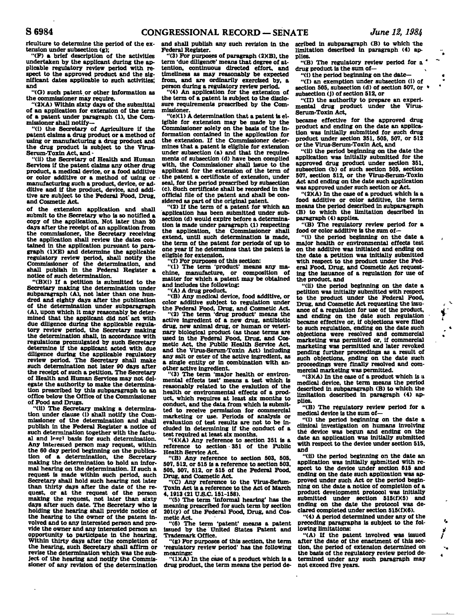**riculture to determine the period of the extension under subsection (g);** 

**"(F) a brief description of the activities undertaken by the applicant during the applicable regulatory review period with respect to the approved product and the significant dates applicable to such activities; and** 

**"(G) such patent, or other information as the commissioner may require.** 

**"(2)(A) Within sixty days of the submittal of an application for extension of the term of a patent under paragraph (1), the Commissioner shall notify—** 

**"(i) the Secretary of Agriculture if the patent claims a drug product or a method of using or manufacturing a drug product and the drug product is subject to the Virus-Serum-Toxin Act, and -**

**"(ii) the Secretary of Health and Human Services if the patent claims any other drug product, a medical device, or a food additive or color additive or a method of using or manufacturing such a product, device, or additive and if the product, device, and addi-tive are subject to the Federal Food, Drug, and Cosmetic Act.** 

**of the extension application and shall submit to the Secretary who is so notified a copy of the application. Not later than 30 days after the receipt of an application from the commissioner, the Secretary receiving the application shall review the dates contained in the application pursuant to paragraph (1XE) and determine the applicable regulatory review period, shall notify the Commissioner of the determination, and shall publish in the Federal Register a notice of such determination.** 

**"(BXi) If a petition is submitted to the Secretary making the determination under subparagraph (A), not later than one hundred and eighty days after the publication of the determination under subparagraph (A), upon which it may reasonably be determined that the applicant did not' act with due diligence during the applicable regula-tory review period, the Secretary making the determination shall, in accordance with regulations promulgated by such Secretary determine if the applicant acted with due diligence during the applicable regulatory review period. The Secretary shall make such determination not later 90 days after the receipt of such a petition. The Secretary of Health and Human Services may not delegate the authority to make the determination prescribed by this subparagraph to an office below the Office of the Commissioner of Food and Drugs.** 

**"(ii) The Secretary making a determination under clause (i) shall notify the Commissioner of the determination and shall publish in the Federal Register a notice of such determination together with the factu**al and less<sup>1</sup> basis for such determination. **Any interested person may request, within the 60 day period beginning on the publication of a determination, the Secretary making the determination to hold an informal hearing on the determination. If such a request is made within such period, such Secretary shall hold such hearing not later than thirty days after the date of the request, or at the request of the person making the request, not later than sixty days after such date. The Secretary who is holding the hearing shall provide notice of the hearing to the owner of the patent involved and to any Interested person and provide the owner and any interested person an opportunity to participate in the hearing. Within thirty days after the completion of the hearing, such Secretary shall affirm or revise the determination which was the subject of the hearing and notify the Commissioner of any revision of the determination** 

**and shall publish any such revision in the scribed in subparagraph (B) to which the Federal Register.** 

**"(3) For purposes of paragraph (2KB), the term 'due diligence' means that degree of attention, continuous directed effort, and timeliness as may reasonably be expected from, and are ordinarily exercised by, a person during a regulatory review period.** 

**"(4) An application for the extension of the term of a patent is subject to the disclosure requirements prescribed by the Commissioner.** 

**"(e)(1) A determination that a patent is eligible for extension may be made by the Commissioner solely on the basis of the information contained in the application for the extension. If the Commissioner determines that a patent is eligible for extension under subsection (a) and that the requirements of subsection (d) have been complied with, the Commissioner shall issue to the applicant for the extension of the term of the patent a certificate of extension, under seal, for the period prescribed by subsection (c). Such certificate shall be recorded In the official file of the patent and shall be considered as part of the original patent.** 

**"(2) If the term of a patent for which an "application has been submitted under subsection (d) would expire before a determination is made under paragraph (1) respecting the application, the Commissioner shall extend, until such determination is made, the term of the patent for periods of up to one year if he determines that the patent is eligible for extension.** 

**"(f) For purposes of this section:** 

**"(1) The term 'product' means any machine, manufacture, or composition of matter for which a patent may be obtained and includes the following:** 

**"(A) A drug product.** 

**"(B) Any medical device, food additive, or color additive subject to regulation under** 

**the Federal Food, Drug, and Cosmetic Act. "(2) The term 'drug product' means the active ingredient of a new drug, antibiotic drug, new animal drug, or human or veterinary biological product (as those terms are used in the Federal Food, Drug, and Cosmetic Act, the Public Health Service Act, and the Virus-Serum-Toxin Act) including any salt or ester of the active ingredient, as a single entity or in combination with another active ingredient.** 

**"(3) The term 'major health or environmental effects test' means a test which is reasonably related to the evalutlon of the health or environmental effects of a product, which requires at least six months to conduct, and the data from which Is submitted to receive permission for commercial marketing or use. Periods of analysis or evaluation of test results are not to be included in determining if the conduct of a test required at least six months.** 

**"(4)(A) Any reference to section 351 is a reference to section • 351 of the Public Health Service Act.** 

**"(B) Any reference to section 503, 505, 507, 512, or 515 is a reference to section 503, 505, 507, 512, or 515 of the Federal Food,**  Drug, and Cosmetic Act.

**"(C) Any reference to the Virus-Serum-Toxin Act is a reference to the Act of March** 

**4,1913 (21 U.S.C. 151-158). "(5) The term 'informal hearing' has the meaning prescribed for such term by section 201(y) of the Federal Food, Drug, and Cosmetic Act.** 

**"(6) The term 'patent' means a patent issued by the United States Patent and Trademark Office.** 

**"(g) For purposes of this section, the term 'regulatory review period' has the following meanings:** 

**"(1)(A) In the case of a product which is a drug product, the term means the period de-**

**limitation described in paragraph (4) applies.** 

**"(B) The regulatory review period for a \* drug product is the sum of—<sup>v</sup>**

**"(i) the period beginning on the date—** 

**"(I) an exemption under subsection (i) of section 505, subsection (d) of section 507, or \* subsection (j) of section 512, or** 

**"(II) the authority to prepare an experimental drug product under the Virus-Serum-Toxin Act,** 

**became effective for the approved drug product and ending on the date an application was Initially submitted for such drug product under section 351, 505, 507, or 512 or the Virus-Serum-Toxin Act, and** 

**"(ii) the period beginning on the date the application was initially submitted for the approved drug product under section 351, subsection (b) of such section 505, section 507, section 512, or the Virus-Serum-Toxin Act and ending on the date such application was approved under such section or Act.** 

**"(2XA) In the case of a product which is a food additive or color additive, the term means the period described in subparagraph (B) to which the limitation described in paragraph (4) applies.** 

**"(B) The regulatory review period for a food or color additive is the sum of—** 

 $\lambda$ 

 $\sqrt{2}$ 

 $\mathbf{r}_\mathbf{a}$ 

 $\ddot{\phantom{a}}$ 

**"(1) the period beginning on the date a major health or environmental effects test on the additive was initiated and ending on the date a petition was initially submitted with respect to the product under the Federal Food, Drug, and Cosmetic Act requesting the issuance of a regulation for use of the product, and** 

**"(ii) the period beginning on the date a petition was initially submitted with respect to the product under the Federal Food, Drug, and Cosmetic Act requesting the issuance of a regulation for use of the product, and ending on the date such regulation - became effective or, if objections were filed to such regulation, ending on the date such objections were resolved and commercial marketing was permitted or, if commercial marketing was permitted and later revoked pending further proceedings as a result of such objections, ending on the date such proceedings were finally resolved and commercial marketing was permitted.** 

**"(3)(A) In the case of a product which is a medical.device, the term means the period described in subparagraph (B) to which the limitation described In paragraph (4) applies.** 

**"(B) The regulatory review period for a medical device is the sum of—** 

**"(i) the period beginning on the date a clinical investigation on humans involving the device was begun and ending on the date an application was initially submitted with respect to the device under section 515, and** 

**"(ii) the period beginning on the date an application was initially submitted with respect to the device under section 515 and ending on the date such application was approved under such Act or the period beginning on the date a notice of completion of a product development protocol was initially**  submitted under section 515(f)(5) and ending on the date the protocol was de**clared completed under section 515(f)(6).** 

**"(4) A period determined under any of the preceding paragraphs is subject to the following limitations:** 

**"(A) If the patent Involved was issued after the date of the enactment of this section, the period of extension determined on the basis of the regulatory review period determined under any' such paragraph may not exceed five years.**